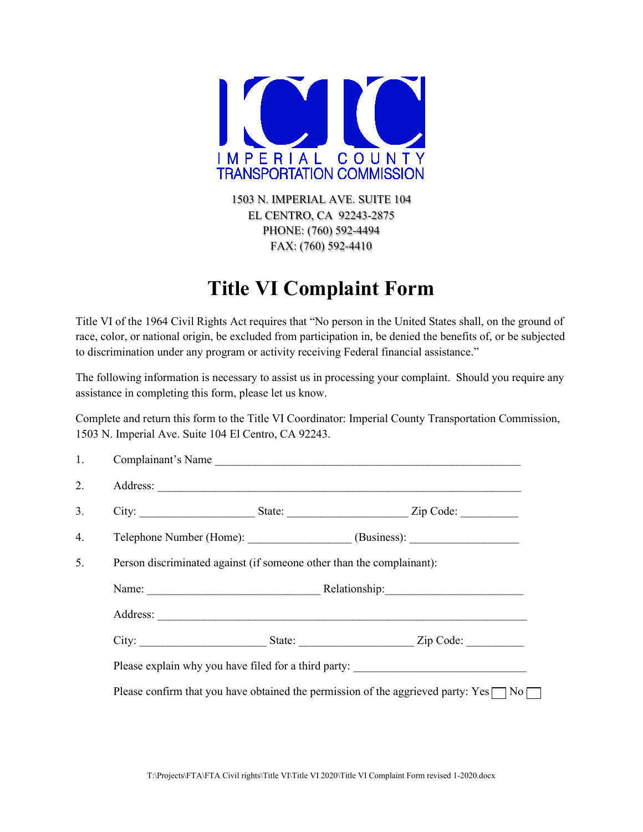

1503 N. IMPERIAL AVE. SUITE 104 EL CENTRO, CA 92243-2875 PHONE: (760) 592-4494 FAX: (760) 592-4410

## **Title VI Complaint Form**

Title VI of the 1964 Civil Rights Act requires that "No person in the United States shall, on the ground of race, color, or national origin, be excluded from participation in, be denied the benefits of, or be subjected to discrimination under any program or activity receiving Federal financial assistance."

The following information is necessary to assist us in processing your complaint. Should you require any assistance in completing this form, please let us know.

Complete and return this form to the Title VI Coordinator: Imperial County Transportation Commission, 1503 N. Imperial Ave. Suite 104 El Centro, CA 92243.

| 1. | Complainant's Name                                                                                |                                                  |  |  |  |  |  |  |
|----|---------------------------------------------------------------------------------------------------|--------------------------------------------------|--|--|--|--|--|--|
| 2. |                                                                                                   |                                                  |  |  |  |  |  |  |
| 3. |                                                                                                   |                                                  |  |  |  |  |  |  |
| 4. |                                                                                                   | Telephone Number (Home): (Business): (Business): |  |  |  |  |  |  |
| 5. | Person discriminated against (if someone other than the complainant):                             |                                                  |  |  |  |  |  |  |
|    |                                                                                                   |                                                  |  |  |  |  |  |  |
|    |                                                                                                   |                                                  |  |  |  |  |  |  |
|    |                                                                                                   |                                                  |  |  |  |  |  |  |
|    | Please explain why you have filed for a third party: ____________________________                 |                                                  |  |  |  |  |  |  |
|    | Please confirm that you have obtained the permission of the aggrieved party: Yes $\Box$ No $\Box$ |                                                  |  |  |  |  |  |  |